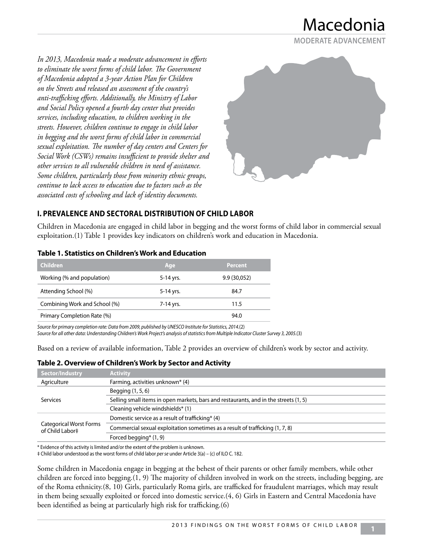Macedonia **MODERATE ADVANCEMENT**

*In 2013, Macedonia made a moderate advancement in efforts to eliminate the worst forms of child labor. The Government of Macedonia adopted a 3-year Action Plan for Children on the Streets and released an assessment of the country's anti-trafficking efforts. Additionally, the Ministry of Labor and Social Policy opened a fourth day center that provides services, including education, to children working in the streets. However, children continue to engage in child labor in begging and the worst forms of child labor in commercial sexual exploitation. The number of day centers and Centers for Social Work (CSWs) remains insufficient to provide shelter and other services to all vulnerable children in need of assistance. Some children, particularly those from minority ethnic groups, continue to lack access to education due to factors such as the associated costs of schooling and lack of identity documents.* 



## **I. PREVALENCE AND SECTORAL DISTRIBUTION OF CHILD LABOR**

Children in Macedonia are engaged in child labor in begging and the worst forms of child labor in commercial sexual exploitation.(1) Table 1 provides key indicators on children's work and education in Macedonia.

| <b>Children</b>               | Age       | <b>Percent</b> |
|-------------------------------|-----------|----------------|
| Working (% and population)    | 5-14 yrs. | 9.9(30,052)    |
| Attending School (%)          | 5-14 yrs. | 84.7           |
| Combining Work and School (%) | 7-14 yrs. | 11.5           |
| Primary Completion Rate (%)   |           | 94.0           |
|                               |           |                |

#### **Table 1. Statistics on Children's Work and Education**

*Source for primary completion rate: Data from 2009, published by UNESCO Institute for Statistics, 2014.*(2) *Source for all other data: Understanding Children's Work Project's analysis of statistics from Multiple Indicator Cluster Survey 3, 2005.*(3)

Based on a review of available information, Table 2 provides an overview of children's work by sector and activity.

#### **Table 2. Overview of Children's Work by Sector and Activity**

| <b>Activity</b>                                                                      |
|--------------------------------------------------------------------------------------|
| Farming, activities unknown* (4)                                                     |
| Begging $(1, 5, 6)$                                                                  |
| Selling small items in open markets, bars and restaurants, and in the streets (1, 5) |
| Cleaning vehicle windshields* (1)                                                    |
| Domestic service as a result of trafficking* (4)                                     |
| Commercial sexual exploitation sometimes as a result of trafficking (1, 7, 8)        |
| Forced begging* (1, 9)                                                               |
|                                                                                      |

\* Evidence of this activity is limited and/or the extent of the problem is unknown.

‡ Child labor understood as the worst forms of child labor *per se* under Article 3(a) – (c) of ILO C. 182.

Some children in Macedonia engage in begging at the behest of their parents or other family members, while other children are forced into begging.(1, 9) The majority of children involved in work on the streets, including begging, are of the Roma ethnicity.(8, 10) Girls, particularly Roma girls, are trafficked for fraudulent marriages, which may result in them being sexually exploited or forced into domestic service.(4, 6) Girls in Eastern and Central Macedonia have been identified as being at particularly high risk for trafficking.(6)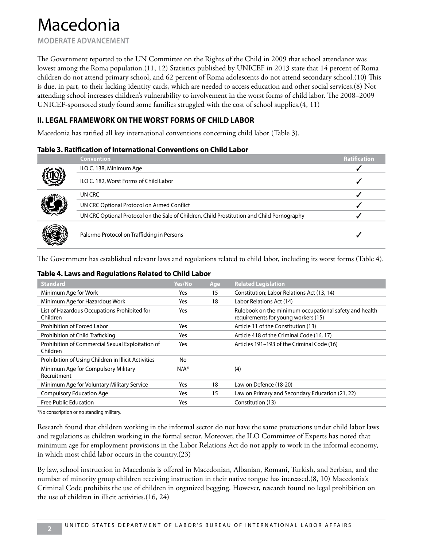**MODERATE ADVANCEMENT**

The Government reported to the UN Committee on the Rights of the Child in 2009 that school attendance was lowest among the Roma population.(11, 12) Statistics published by UNICEF in 2013 state that 14 percent of Roma children do not attend primary school, and 62 percent of Roma adolescents do not attend secondary school.(10) This is due, in part, to their lacking identity cards, which are needed to access education and other social services.(8) Not attending school increases children's vulnerability to involvement in the worst forms of child labor. The 2008–2009 UNICEF-sponsored study found some families struggled with the cost of school supplies.(4, 11)

## **II. LEGAL FRAMEWORK ON THE WORST FORMS OF CHILD LABOR**

Macedonia has ratified all key international conventions concerning child labor (Table 3).

#### **Table 3. Ratification of International Conventions on Child Labor**

|  | <b>Convention</b>                                                                          | <b>Ratification</b> |
|--|--------------------------------------------------------------------------------------------|---------------------|
|  | ILO C. 138, Minimum Age                                                                    |                     |
|  | ILO C. 182, Worst Forms of Child Labor                                                     |                     |
|  | UN CRC                                                                                     |                     |
|  | UN CRC Optional Protocol on Armed Conflict                                                 |                     |
|  | UN CRC Optional Protocol on the Sale of Children, Child Prostitution and Child Pornography |                     |
|  | Palermo Protocol on Trafficking in Persons                                                 |                     |

The Government has established relevant laws and regulations related to child labor, including its worst forms (Table 4).

#### **Table 4. Laws and Regulations Related to Child Labor**

| <b>Standard</b>                                              | Yes/No  | Age | <b>Related Legislation</b>                                                                    |
|--------------------------------------------------------------|---------|-----|-----------------------------------------------------------------------------------------------|
| Minimum Age for Work                                         | Yes     | 15  | Constitution; Labor Relations Act (13, 14)                                                    |
| Minimum Age for Hazardous Work                               | Yes     | 18  | Labor Relations Act (14)                                                                      |
| List of Hazardous Occupations Prohibited for<br>Children     | Yes     |     | Rulebook on the minimum occupational safety and health<br>requirements for young workers (15) |
| Prohibition of Forced Labor                                  | Yes     |     | Article 11 of the Constitution (13)                                                           |
| Prohibition of Child Trafficking                             | Yes     |     | Article 418 of the Criminal Code (16, 17)                                                     |
| Prohibition of Commercial Sexual Exploitation of<br>Children | Yes     |     | Articles 191-193 of the Criminal Code (16)                                                    |
| Prohibition of Using Children in Illicit Activities          | No      |     |                                                                                               |
| Minimum Age for Compulsory Military<br>Recruitment           | $N/A^*$ |     | (4)                                                                                           |
| Minimum Age for Voluntary Military Service                   | Yes     | 18  | Law on Defence (18-20)                                                                        |
| <b>Compulsory Education Age</b>                              | Yes     | 15  | Law on Primary and Secondary Education (21, 22)                                               |
| Free Public Education                                        | Yes     |     | Constitution (13)                                                                             |

\*No conscription or no standing military.

Research found that children working in the informal sector do not have the same protections under child labor laws and regulations as children working in the formal sector. Moreover, the ILO Committee of Experts has noted that minimum age for employment provisions in the Labor Relations Act do not apply to work in the informal economy, in which most child labor occurs in the country.(23)

By law, school instruction in Macedonia is offered in Macedonian, Albanian, Romani, Turkish, and Serbian, and the number of minority group children receiving instruction in their native tongue has increased.(8, 10) Macedonia's Criminal Code prohibits the use of children in organized begging. However, research found no legal prohibition on the use of children in illicit activities.(16, 24)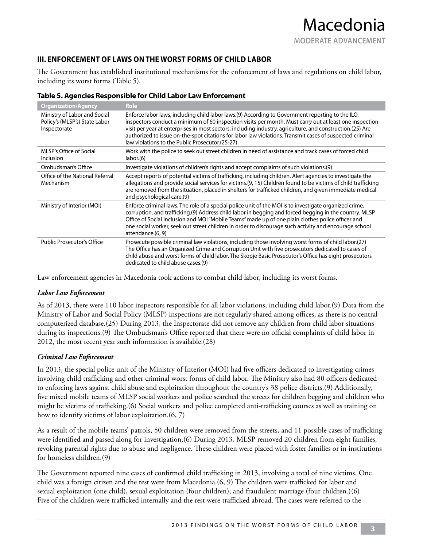## **III. ENFORCEMENT OF LAWS ON THE WORST FORMS OF CHILD LABOR**

The Government has established institutional mechanisms for the enforcement of laws and regulations on child labor, including its worst forms (Table 5).

| <b>Organization/Agency</b>                                                    | <b>Role</b>                                                                                                                                                                                                                                                                                                                                                                                                                                                                             |
|-------------------------------------------------------------------------------|-----------------------------------------------------------------------------------------------------------------------------------------------------------------------------------------------------------------------------------------------------------------------------------------------------------------------------------------------------------------------------------------------------------------------------------------------------------------------------------------|
| Ministry of Labor and Social<br>Policy's (MLSP's) State Labor<br>Inspectorate | Enforce labor laws, including child labor laws.(9) According to Government reporting to the ILO,<br>inspectors conduct a minimum of 60 inspection visits per month. Must carry out at least one inspection<br>visit per year at enterprises in most sectors, including industry, agriculture, and construction.(25) Are<br>authorized to issue on-the-spot citations for labor law violations. Transmit cases of suspected criminal<br>law violations to the Public Prosecutor.(25-27). |
| MLSP's Office of Social<br><b>Inclusion</b>                                   | Work with the police to seek out street children in need of assistance and track cases of forced child<br>labor(6)                                                                                                                                                                                                                                                                                                                                                                      |
| Ombudsman's Office                                                            | Investigate violations of children's rights and accept complaints of such violations.(9)                                                                                                                                                                                                                                                                                                                                                                                                |
| Office of the National Referral<br>Mechanism                                  | Accept reports of potential victims of trafficking, including children. Alert agencies to investigate the<br>allegations and provide social services for victims.(9, 15) Children found to be victims of child trafficking<br>are removed from the situation, placed in shelters for trafficked children, and given immediate medical<br>and psychological care.(9)                                                                                                                     |
| Ministry of Interior (MOI)                                                    | Enforce criminal laws. The role of a special police unit of the MOI is to investigate organized crime,<br>corruption, and trafficking.(9) Address child labor in begging and forced begging in the country. MLSP<br>Office of Social Inclusion and MOI "Mobile Teams" made up of one plain clothes police officer and<br>one social worker, seek out street children in order to discourage such activity and encourage school<br>attendance.(6, 9)                                     |
| <b>Public Prosecutor's Office</b>                                             | Prosecute possible criminal law violations, including those involving worst forms of child labor.(27)<br>The Office has an Organized Crime and Corruption Unit with five prosecutors dedicated to cases of<br>child abuse and worst forms of child labor. The Skopje Basic Prosecutor's Office has eight prosecutors<br>dedicated to child abuse cases.(9)                                                                                                                              |

Law enforcement agencies in Macedonia took actions to combat child labor, including its worst forms.

#### *Labor Law Enforcement*

As of 2013, there were 110 labor inspectors responsible for all labor violations, including child labor.(9) Data from the Ministry of Labor and Social Policy (MLSP) inspections are not regularly shared among offices, as there is no central computerized database.(25) During 2013, the Inspectorate did not remove any children from child labor situations during its inspections.(9) The Ombudsman's Office reported that there were no official complaints of child labor in 2012, the most recent year such information is available.(28)

#### *Criminal Law Enforcement*

In 2013, the special police unit of the Ministry of Interior (MOI) had five officers dedicated to investigating crimes involving child trafficking and other criminal worst forms of child labor. The Ministry also had 80 officers dedicated to enforcing laws against child abuse and exploitation throughout the country's 38 police districts.(9) Additionally, five mixed mobile teams of MLSP social workers and police searched the streets for children begging and children who might be victims of trafficking.(6) Social workers and police completed anti-trafficking courses as well as training on how to identify victims of labor exploitation.(6, 7)

As a result of the mobile teams' patrols, 50 children were removed from the streets, and 11 possible cases of trafficking were identified and passed along for investigation.(6) During 2013, MLSP removed 20 children from eight families, revoking parental rights due to abuse and negligence. These children were placed with foster families or in institutions for homeless children.(9)

The Government reported nine cases of confirmed child trafficking in 2013, involving a total of nine victims. One child was a foreign citizen and the rest were from Macedonia.(6, 9) The children were trafficked for labor and sexual exploitation (one child), sexual exploitation (four children), and fraudulent marriage (four children.)(6) Five of the children were trafficked internally and the rest were trafficked abroad. The cases were referred to the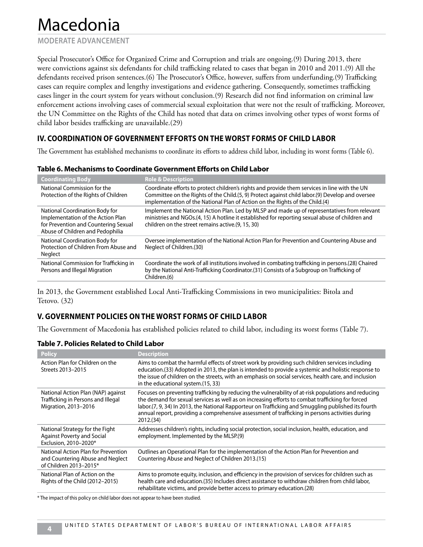**MODERATE ADVANCEMENT**

Special Prosecutor's Office for Organized Crime and Corruption and trials are ongoing.(9) During 2013, there were convictions against six defendants for child trafficking related to cases that began in 2010 and 2011.(9) All the defendants received prison sentences.(6) The Prosecutor's Office, however, suffers from underfunding.(9) Trafficking cases can require complex and lengthy investigations and evidence gathering. Consequently, sometimes trafficking cases linger in the court system for years without conclusion.(9) Research did not find information on criminal law enforcement actions involving cases of commercial sexual exploitation that were not the result of trafficking. Moreover, the UN Committee on the Rights of the Child has noted that data on crimes involving other types of worst forms of child labor besides trafficking are unavailable.(29)

## **IV. COORDINATION OF GOVERNMENT EFFORTS ON THE WORST FORMS OF CHILD LABOR**

The Government has established mechanisms to coordinate its efforts to address child labor, including its worst forms (Table 6).

| <b>Coordinating Body</b>                                                                                                                        | <b>Role &amp; Description</b>                                                                                                                                                                                                                                                    |
|-------------------------------------------------------------------------------------------------------------------------------------------------|----------------------------------------------------------------------------------------------------------------------------------------------------------------------------------------------------------------------------------------------------------------------------------|
| National Commission for the<br>Protection of the Rights of Children                                                                             | Coordinate efforts to protect children's rights and provide them services in line with the UN<br>Committee on the Rights of the Child.(5, 9) Protect against child labor.(9) Develop and oversee<br>implementation of the National Plan of Action on the Rights of the Child.(4) |
| National Coordination Body for<br>Implementation of the Action Plan<br>for Prevention and Countering Sexual<br>Abuse of Children and Pedophilia | Implement the National Action Plan. Led by MLSP and made up of representatives from relevant<br>ministries and NGOs.(4, 15) A hotline it established for reporting sexual abuse of children and<br>children on the street remains active.(9, 15, 30)                             |
| National Coordination Body for<br>Protection of Children From Abuse and<br>Neglect                                                              | Oversee implementation of the National Action Plan for Prevention and Countering Abuse and<br>Neglect of Children.(30)                                                                                                                                                           |
| National Commission for Trafficking in<br>Persons and Illegal Migration                                                                         | Coordinate the work of all institutions involved in combating trafficking in persons.(28) Chaired<br>by the National Anti-Trafficking Coordinator.(31) Consists of a Subgroup on Trafficking of<br>Children.(6)                                                                  |

#### **Table 6. Mechanisms to Coordinate Government Efforts on Child Labor**

In 2013, the Government established Local Anti-Trafficking Commissions in two municipalities: Bitola and Tetovo. (32)

## **V. GOVERNMENT POLICIES ON THE WORST FORMS OF CHILD LABOR**

The Government of Macedonia has established policies related to child labor, including its worst forms (Table 7).

#### **Table 7. Policies Related to Child Labor**

| <b>Policy</b>                                                                                     | <b>Description</b>                                                                                                                                                                                                                                                                                                                                                                                                             |
|---------------------------------------------------------------------------------------------------|--------------------------------------------------------------------------------------------------------------------------------------------------------------------------------------------------------------------------------------------------------------------------------------------------------------------------------------------------------------------------------------------------------------------------------|
| Action Plan for Children on the<br>Streets 2013-2015                                              | Aims to combat the harmful effects of street work by providing such children services including<br>education.(33) Adopted in 2013, the plan is intended to provide a systemic and holistic response to<br>the issue of children on the streets, with an emphasis on social services, health care, and inclusion<br>in the educational system.(15, 33)                                                                          |
| National Action Plan (NAP) against<br>Trafficking in Persons and Illegal<br>Migration, 2013-2016  | Focuses on preventing trafficking by reducing the vulnerability of at-risk populations and reducing<br>the demand for sexual services as well as on increasing efforts to combat trafficking for forced<br>labor.(7, 9, 34) In 2013, the National Rapporteur on Trafficking and Smuggling published its fourth<br>annual report, providing a comprehensive assessment of trafficking in persons activities during<br>2012.(34) |
| National Strategy for the Fight<br><b>Against Poverty and Social</b><br>Exclusion, 2010-2020*     | Addresses children's rights, including social protection, social inclusion, health, education, and<br>employment. Implemented by the MLSP.(9)                                                                                                                                                                                                                                                                                  |
| National Action Plan for Prevention<br>and Countering Abuse and Neglect<br>of Children 2013-2015* | Outlines an Operational Plan for the implementation of the Action Plan for Prevention and<br>Countering Abuse and Neglect of Children 2013.(15)                                                                                                                                                                                                                                                                                |
| National Plan of Action on the<br>Rights of the Child (2012-2015)                                 | Aims to promote equity, inclusion, and efficiency in the provision of services for children such as<br>health care and education. (35) Includes direct assistance to withdraw children from child labor,<br>rehabilitate victims, and provide better access to primary education.(28)                                                                                                                                          |

\* The impact of this policy on child labor does not appear to have been studied.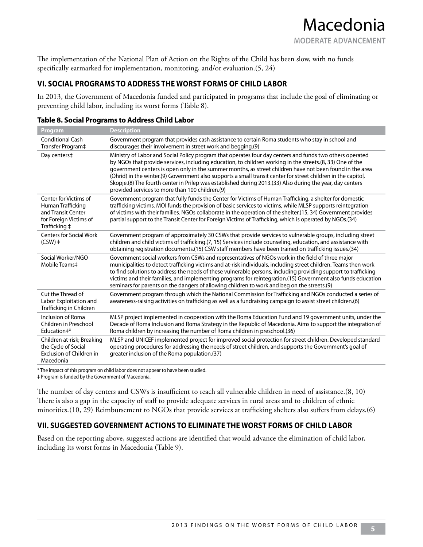The implementation of the National Plan of Action on the Rights of the Child has been slow, with no funds specifically earmarked for implementation, monitoring, and/or evaluation.(5, 24)

## **VI. SOCIAL PROGRAMS TO ADDRESS THE WORST FORMS OF CHILD LABOR**

In 2013, the Government of Macedonia funded and participated in programs that include the goal of eliminating or preventing child labor, including its worst forms (Table 8).

| <b>Program</b>                                                                                              | <b>Description</b>                                                                                                                                                                                                                                                                                                                                                                                                                                                                                                                                                                                                 |
|-------------------------------------------------------------------------------------------------------------|--------------------------------------------------------------------------------------------------------------------------------------------------------------------------------------------------------------------------------------------------------------------------------------------------------------------------------------------------------------------------------------------------------------------------------------------------------------------------------------------------------------------------------------------------------------------------------------------------------------------|
| <b>Conditional Cash</b><br>Transfer Program‡                                                                | Government program that provides cash assistance to certain Roma students who stay in school and<br>discourages their involvement in street work and begging.(9)                                                                                                                                                                                                                                                                                                                                                                                                                                                   |
| Day centers‡                                                                                                | Ministry of Labor and Social Policy program that operates four day centers and funds two others operated<br>by NGOs that provide services, including education, to children working in the streets.(8, 33) One of the<br>government centers is open only in the summer months, as street children have not been found in the area<br>(Ohrid) in the winter.(9) Government also supports a small transit center for street children in the capitol,<br>Skopje.(8) The fourth center in Prilep was established during 2013.(33) Also during the year, day centers<br>provided services to more than 100 children.(9) |
| Center for Victims of<br>Human Trafficking<br>and Transit Center<br>for Foreign Victims of<br>Trafficking ‡ | Government program that fully funds the Center for Victims of Human Trafficking, a shelter for domestic<br>trafficking victims. MOI funds the provision of basic services to victims, while MLSP supports reintegration<br>of victims with their families. NGOs collaborate in the operation of the shelter.(15, 34) Government provides<br>partial support to the Transit Center for Foreign Victims of Trafficking, which is operated by NGOs.(34)                                                                                                                                                               |
| <b>Centers for Social Work</b><br>$(CSW)$ ‡                                                                 | Government program of approximately 30 CSWs that provide services to vulnerable groups, including street<br>children and child victims of trafficking.(7, 15) Services include counseling, education, and assistance with<br>obtaining registration documents.(15) CSW staff members have been trained on trafficking issues.(34)                                                                                                                                                                                                                                                                                  |
| Social Worker/NGO<br>Mobile Teams‡                                                                          | Government social workers from CSWs and representatives of NGOs work in the field of three major<br>municipalities to detect trafficking victims and at-risk individuals, including street children. Teams then work<br>to find solutions to address the needs of these vulnerable persons, including providing support to trafficking<br>victims and their families, and implementing programs for reintegration. (15) Government also funds education<br>seminars for parents on the dangers of allowing children to work and beg on the streets.(9)                                                             |
| Cut the Thread of<br>Labor Exploitation and<br>Trafficking in Children                                      | Government program through which the National Commission for Trafficking and NGOs conducted a series of<br>awareness-raising activities on trafficking as well as a fundraising campaign to assist street children.(6)                                                                                                                                                                                                                                                                                                                                                                                             |
| Inclusion of Roma<br>Children in Preschool<br>Education#*                                                   | MLSP project implemented in cooperation with the Roma Education Fund and 19 government units, under the<br>Decade of Roma Inclusion and Roma Strategy in the Republic of Macedonia. Aims to support the integration of<br>Roma children by increasing the number of Roma children in preschool.(36)                                                                                                                                                                                                                                                                                                                |
| Children at-risk; Breaking<br>the Cycle of Social<br>Exclusion of Children in<br>Macedonia                  | MLSP and UNICEF implemented project for improved social protection for street children. Developed standard<br>operating procedures for addressing the needs of street children, and supports the Government's goal of<br>greater inclusion of the Roma population. (37)                                                                                                                                                                                                                                                                                                                                            |

#### **Table 8. Social Programs to Address Child Labor**

\* The impact of this program on child labor does not appear to have been studied.

‡ Program is funded by the Government of Macedonia.

The number of day centers and CSWs is insufficient to reach all vulnerable children in need of assistance.(8, 10) There is also a gap in the capacity of staff to provide adequate services in rural areas and to children of ethnic minorities.(10, 29) Reimbursement to NGOs that provide services at trafficking shelters also suffers from delays.(6)

## **VII. SUGGESTED GOVERNMENT ACTIONS TO ELIMINATE THE WORST FORMS OF CHILD LABOR**

Based on the reporting above, suggested actions are identified that would advance the elimination of child labor, including its worst forms in Macedonia (Table 9).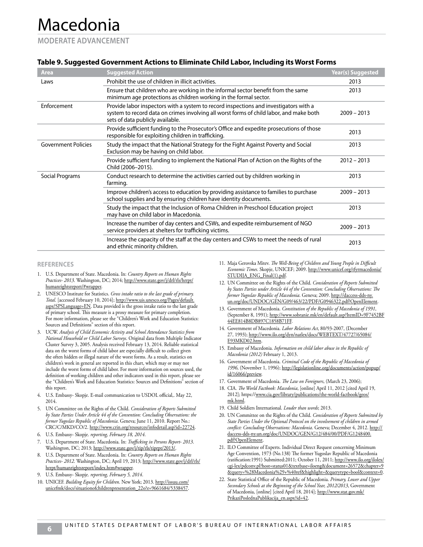**MODERATE ADVANCEMENT**

#### **Table 9. Suggested Government Actions to Eliminate Child Labor, Including its Worst Forms**

| <b>Suggested Action</b>                                                                                                                                                                                              | Year(s) Suggested |
|----------------------------------------------------------------------------------------------------------------------------------------------------------------------------------------------------------------------|-------------------|
| Prohibit the use of children in illicit activities.                                                                                                                                                                  | 2013              |
| Ensure that children who are working in the informal sector benefit from the same<br>minimum age protections as children working in the formal sector.                                                               | 2013              |
| Provide labor inspectors with a system to record inspections and investigators with a<br>system to record data on crimes involving all worst forms of child labor, and make both<br>sets of data publicly available. | $2009 - 2013$     |
| Provide sufficient funding to the Prosecutor's Office and expedite prosecutions of those<br>responsible for exploiting children in trafficking.                                                                      | 2013              |
| Study the impact that the National Strategy for the Fight Against Poverty and Social<br>Exclusion may be having on child labor.                                                                                      | 2013              |
| Provide sufficient funding to implement the National Plan of Action on the Rights of the<br>Child (2006-2015).                                                                                                       | $2012 - 2013$     |
| Conduct research to determine the activities carried out by children working in<br>farming.                                                                                                                          | 2013              |
| Improve children's access to education by providing assistance to families to purchase<br>school supplies and by ensuring children have identity documents.                                                          | $2009 - 2013$     |
| Study the impact that the Inclusion of Roma Children in Preschool Education project<br>may have on child labor in Macedonia.                                                                                         | 2013              |
| Increase the number of day centers and CSWs, and expedite reimbursement of NGO<br>service providers at shelters for trafficking victims.                                                                             | $2009 - 2013$     |
| Increase the capacity of the staff at the day centers and CSWs to meet the needs of rural<br>and ethnic minority children.                                                                                           | 2013              |
|                                                                                                                                                                                                                      |                   |

#### **REFERENCES**

- 1. U.S. Department of State. Macedonia. In: *Country Reports on Human Rights Practices- 2013*. Washington, DC; 2014; http://www.state.gov/j/drl/rls/hrrpt/ humanrightsreport/#wrapper.
- 2. UNESCO Institute for Statistics. *Gross intake ratio to the last grade of primary. Total*. [accessed February 10, 2014]; http://www.uis.unesco.org/Pages/default. aspx?SPSLanguage=EN. Data provided is the gross intake ratio to the last grade of primary school. This measure is a proxy measure for primary completion. For more information, please see the "Children's Work and Education Statistics: Sources and Definitions" section of this report.
- 3. UCW. *Analysis of Child Economic Activity and School Attendance Statistics from National Household or Child Labor Surveys*. Original data from Multiple Indicator Cluster Survey 3, 2005. Analysis received February 13, 2014. Reliable statistical data on the worst forms of child labor are especially difficult to collect given the often hidden or illegal nature of the worst forms. As a result, statistics on children's work in general are reported in this chart, which may or may not include the worst forms of child labor. For more information on sources used, the definition of working children and other indicators used in this report, please see the "Children's Work and Education Statistics: Sources and Definitions" section of this report.
- 4. U.S. Embassy- Skopje. E-mail communication to USDOL official,. May 22, 2014.
- 5. UN Committee on the Rights of the Child. *Consideration of Reports Submitted by State Parties Under Article 44 of the Convention: Concluding Observations: the former Yugoslav Republic of Macedonia*. Geneva; June 11, 2010. Report No.: CRC/C/MKD/CO/2. http://www.crin.org/resources/infodetail.asp?id=22724.
- 6. U.S. Embassy- Skopje. *reporting, February 18, 2014*.
- 7. U.S. Department of State. Macedonia. In: *Trafficking in Persons Report- 2013*. Washington, DC; 2013; http://www.state.gov/j/tip/rls/tiprpt/2013/
- 8. U.S. Department of State. Macedonia. In: *Country Reports on Human Rights*  Practices- 2012. Washington, DC; April 19, 2013; http://www.state.gov/j/drl/rls/ hrrpt/humanrightsreport/index.htm#wrapper.
- 9. U.S. Embassy- Skopje. *reporting, February 5, 2014*.
- 10. UNICEF. *Building Equity for Children*. New York; 2013. http://issuu.com/ unicefmk/docs/situationofchildrenpresentation\_22o?e=9661684/5338457.
- 11. Maja Gerovska Mitev. *The Well-Being of Children and Young People in Difficult Economic Times*. Skopje, UNICEF; 2009. http://www.unicef.org/tfyrmacedonia/ STUDIJA\_ENG\_Final(1).pdf.
- 12. UN Committee on the Rights of the Child. *Consideration of Reports Submitted by States Parties under Article 44 of the Convention: Concluding Observations: The former Yugoslav Republic of Macedonia*. Geneva; 2009. http://daccess-dds-ny. un.org/doc/UNDOC/GEN/G09/463/22/PDF/G0946322.pdf?OpenElement.
- 13. Government of Macedonia. *Constitution of the Republic of Macedonia of 1991*, (September 8, 1991); http://www.sobranie.mk/en/default.asp?ItemID=9F7452BF 44EE814B8DB897C1858B71FF.
- 14. Government of Macedonia. *Labor Relations Act*, 80/93-2007, (December 27, 1993); http://www.ilo.org/dyn/natlex/docs/WEBTEXT/47727/65084/ E93MKD02.htm.
- 15. Embassy of Macedonia. *Information on child labor abuse in the Republic of Macedonia (2012)* February 1, 2013.
- 16. Government of Macedonia. *Criminal Code of the Republic of Macedonia of 1996*, (November 1, 1996); http://legislationline.org/documents/action/popup/ id/16066/preview.
- 17. Government of Macedonia. *The Law on Foreigners*, (March 23, 2006);
- 18. CIA. *The World Factbook: Macedonia*, [online] April 11, 2012 [cited April 19, 2012]; https://www.cia.gov/library/publications/the-world-factbook/geos/ mk.html.
- 19. Child Soldiers International. *Louder than words*; 2013.
- 20. UN Committee on the Rights of the Child. *Consideration of Reports Submitted by State Parties Under the Optional Protocol on the involvement of children in armed conflict: Concluding Observations: Macedonia*. Geneva; December 4, 2012. http:// daccess-dds-ny.un.org/doc/UNDOC/GEN/G12/484/00/PDF/G1248400. pdf?OpenElement.
- 21. ILO Committee of Experts. Individual Direct Request concerning Minimum Age Convention, 1973 (No.138) The former Yugoslav Republic of Macedonia (ratification:1991) Submitted:2011; October 11, 2011; http://www.ilo.org/ilolex/ cgi-lex/pdconv.pl?host=status01&textbase=iloeng&document=26572&chapter=9 &query=%28Macedonia%29+%40ref&highlight=&querytype=bool&context=0.
- 22. State Statistical Office of the Republic of Macedonia. *Primary, Lower and Upper Secondary Schools at the Beginning of the School Year, 2012/2013*, Government of Macedonia, [online] [cited April 18, 2014]; http://www.stat.gov.mk/ PrikaziPoslednaPublikacija\_en.aspx?id=42.